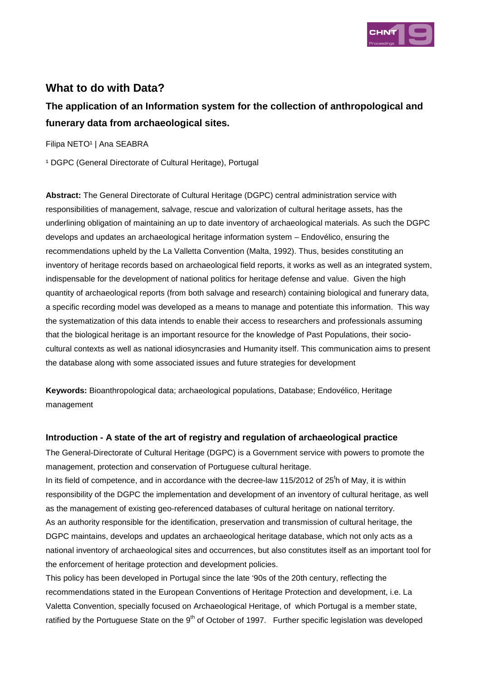

## **What to do with Data?**

# **The application of an Information system for the collection of anthropological and funerary data from archaeological sites.**

Filipa NETO<sup>1</sup> | Ana SEABRA

<sup>1</sup> DGPC (General Directorate of Cultural Heritage), Portugal

**Abstract:** The General Directorate of Cultural Heritage (DGPC) central administration service with responsibilities of management, salvage, rescue and valorization of cultural heritage assets, has the underlining obligation of maintaining an up to date inventory of archaeological materials. As such the DGPC develops and updates an archaeological heritage information system – Endovélico, ensuring the recommendations upheld by the La Valletta Convention (Malta, 1992). Thus, besides constituting an inventory of heritage records based on archaeological field reports, it works as well as an integrated system, indispensable for the development of national politics for heritage defense and value. Given the high quantity of archaeological reports (from both salvage and research) containing biological and funerary data, a specific recording model was developed as a means to manage and potentiate this information. This way the systematization of this data intends to enable their access to researchers and professionals assuming that the biological heritage is an important resource for the knowledge of Past Populations, their sociocultural contexts as well as national idiosyncrasies and Humanity itself. This communication aims to present the database along with some associated issues and future strategies for development

**Keywords:** Bioanthropological data; archaeological populations, Database; Endovélico, Heritage management

### **Introduction - A state of the art of registry and regulation of archaeological practice**

The General-Directorate of Cultural Heritage (DGPC) is a Government service with powers to promote the management, protection and conservation of Portuguese cultural heritage.

In its field of competence, and in accordance with the decree-law 115/2012 of 25<sup>t</sup>h of May, it is within responsibility of the DGPC the implementation and development of an inventory of cultural heritage, as well as the management of existing geo-referenced databases of cultural heritage on national territory. As an authority responsible for the identification, preservation and transmission of cultural heritage, the DGPC maintains, develops and updates an archaeological heritage database, which not only acts as a national inventory of archaeological sites and occurrences, but also constitutes itself as an important tool for the enforcement of heritage protection and development policies.

This policy has been developed in Portugal since the late '90s of the 20th century, reflecting the recommendations stated in the European Conventions of Heritage Protection and development, i.e. La Valetta Convention, specially focused on Archaeological Heritage, of which Portugal is a member state, ratified by the Portuguese State on the 9<sup>th</sup> of October of 1997. Further specific legislation was developed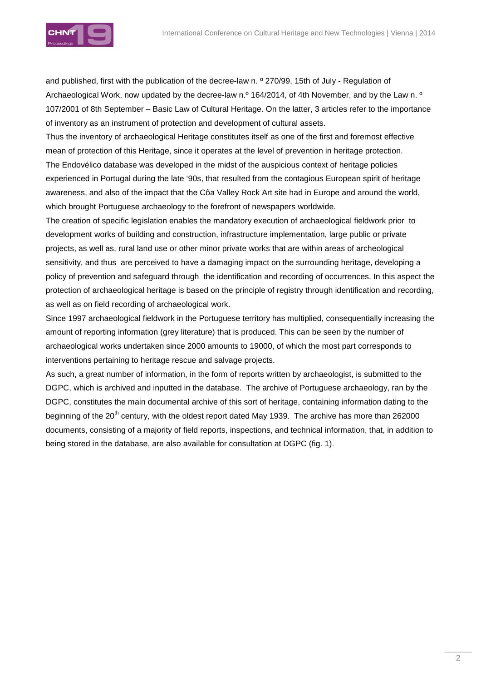

and published, first with the publication of the decree-law n. º 270/99, 15th of July - Regulation of Archaeological Work, now updated by the decree-law n.<sup>o</sup> 164/2014, of 4th November, and by the Law n.<sup>o</sup> 107/2001 of 8th September – Basic Law of Cultural Heritage. On the latter, 3 articles refer to the importance of inventory as an instrument of protection and development of cultural assets.

Thus the inventory of archaeological Heritage constitutes itself as one of the first and foremost effective mean of protection of this Heritage, since it operates at the level of prevention in heritage protection. The Endovélico database was developed in the midst of the auspicious context of heritage policies experienced in Portugal during the late '90s, that resulted from the contagious European spirit of heritage awareness, and also of the impact that the Côa Valley Rock Art site had in Europe and around the world, which brought Portuguese archaeology to the forefront of newspapers worldwide.

The creation of specific legislation enables the mandatory execution of archaeological fieldwork prior to development works of building and construction, infrastructure implementation, large public or private projects, as well as, rural land use or other minor private works that are within areas of archeological sensitivity, and thus are perceived to have a damaging impact on the surrounding heritage, developing a policy of prevention and safeguard through the identification and recording of occurrences. In this aspect the protection of archaeological heritage is based on the principle of registry through identification and recording, as well as on field recording of archaeological work.

Since 1997 archaeological fieldwork in the Portuguese territory has multiplied, consequentially increasing the amount of reporting information (grey literature) that is produced. This can be seen by the number of archaeological works undertaken since 2000 amounts to 19000, of which the most part corresponds to interventions pertaining to heritage rescue and salvage projects.

As such, a great number of information, in the form of reports written by archaeologist, is submitted to the DGPC, which is archived and inputted in the database. The archive of Portuguese archaeology, ran by the DGPC, constitutes the main documental archive of this sort of heritage, containing information dating to the beginning of the 20<sup>th</sup> century, with the oldest report dated May 1939. The archive has more than 262000 documents, consisting of a majority of field reports, inspections, and technical information, that, in addition to being stored in the database, are also available for consultation at DGPC (fig. 1).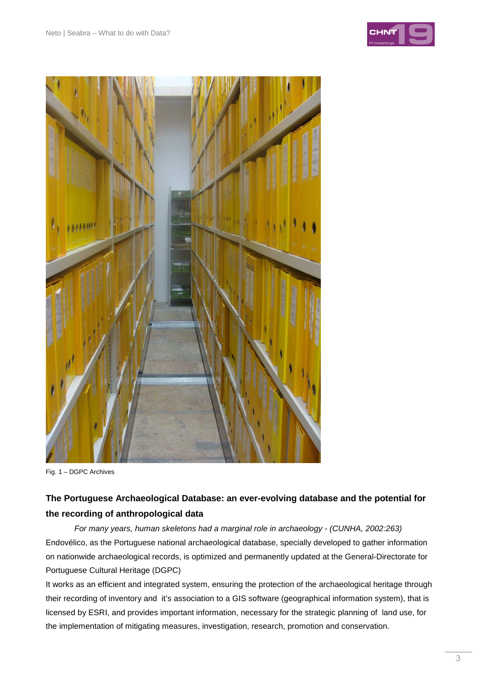



Fig. 1 – DGPC Archives

## **The Portuguese Archaeological Database: an ever-evolving database and the potential for the recording of anthropological data**

For many years, human skeletons had a marginal role in archaeology - (CUNHA, 2002:263) Endovélico, as the Portuguese national archaeological database, specially developed to gather information on nationwide archaeological records, is optimized and permanently updated at the General-Directorate for Portuguese Cultural Heritage (DGPC)

It works as an efficient and integrated system, ensuring the protection of the archaeological heritage through their recording of inventory and it's association to a GIS software (geographical information system), that is licensed by ESRI, and provides important information, necessary for the strategic planning of land use, for the implementation of mitigating measures, investigation, research, promotion and conservation.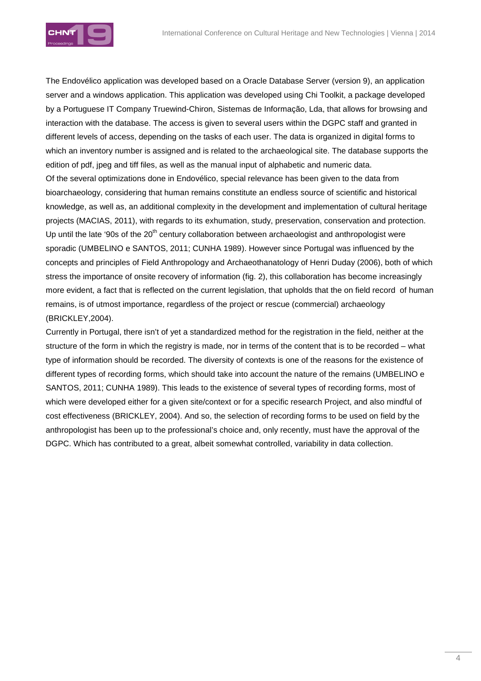

The Endovélico application was developed based on a Oracle Database Server (version 9), an application server and a windows application. This application was developed using Chi Toolkit, a package developed by a Portuguese IT Company Truewind-Chiron, Sistemas de Informação, Lda, that allows for browsing and interaction with the database. The access is given to several users within the DGPC staff and granted in different levels of access, depending on the tasks of each user. The data is organized in digital forms to which an inventory number is assigned and is related to the archaeological site. The database supports the edition of pdf, jpeg and tiff files, as well as the manual input of alphabetic and numeric data. Of the several optimizations done in Endovélico, special relevance has been given to the data from bioarchaeology, considering that human remains constitute an endless source of scientific and historical knowledge, as well as, an additional complexity in the development and implementation of cultural heritage projects (MACIAS, 2011), with regards to its exhumation, study, preservation, conservation and protection. Up until the late '90s of the 20<sup>th</sup> century collaboration between archaeologist and anthropologist were sporadic (UMBELINO e SANTOS, 2011; CUNHA 1989). However since Portugal was influenced by the concepts and principles of Field Anthropology and Archaeothanatology of Henri Duday (2006), both of which stress the importance of onsite recovery of information (fig. 2), this collaboration has become increasingly more evident, a fact that is reflected on the current legislation, that upholds that the on field record of human remains, is of utmost importance, regardless of the project or rescue (commercial) archaeology (BRICKLEY,2004).

Currently in Portugal, there isn't of yet a standardized method for the registration in the field, neither at the structure of the form in which the registry is made, nor in terms of the content that is to be recorded – what type of information should be recorded. The diversity of contexts is one of the reasons for the existence of different types of recording forms, which should take into account the nature of the remains (UMBELINO e SANTOS, 2011; CUNHA 1989). This leads to the existence of several types of recording forms, most of which were developed either for a given site/context or for a specific research Project, and also mindful of cost effectiveness (BRICKLEY, 2004). And so, the selection of recording forms to be used on field by the anthropologist has been up to the professional's choice and, only recently, must have the approval of the DGPC. Which has contributed to a great, albeit somewhat controlled, variability in data collection.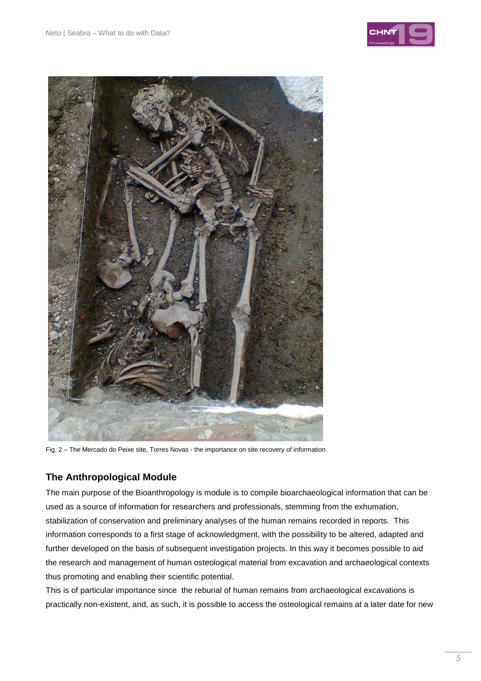



Fig. 2 – The Mercado do Peixe site, Torres Novas - the importance on site recovery of information

## **The Anthropological Module**

The main purpose of the Bioanthropology is module is to compile bioarchaeological information that can be used as a source of information for researchers and professionals, stemming from the exhumation, stabilization of conservation and preliminary analyses of the human remains recorded in reports. This information corresponds to a first stage of acknowledgment, with the possibility to be altered, adapted and further developed on the basis of subsequent investigation projects. In this way it becomes possible to aid the research and management of human osteological material from excavation and archaeological contexts thus promoting and enabling their scientific potential.

This is of particular importance since the reburial of human remains from archaeological excavations is practically non-existent, and, as such, it is possible to access the osteological remains at a later date for new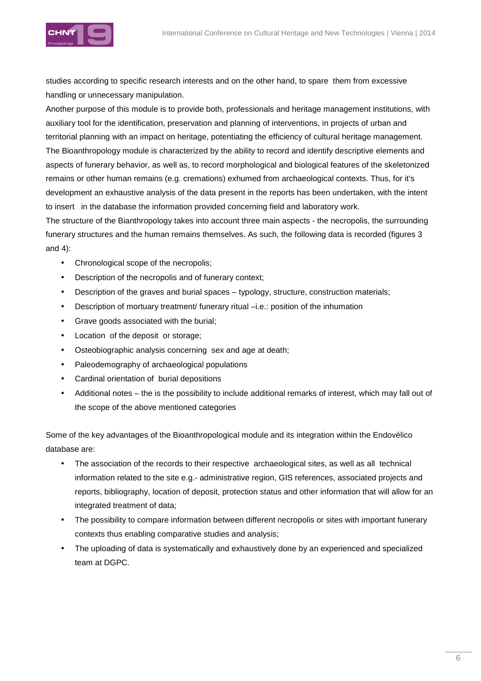

studies according to specific research interests and on the other hand, to spare them from excessive handling or unnecessary manipulation.

Another purpose of this module is to provide both, professionals and heritage management institutions, with auxiliary tool for the identification, preservation and planning of interventions, in projects of urban and territorial planning with an impact on heritage, potentiating the efficiency of cultural heritage management. The Bioanthropology module is characterized by the ability to record and identify descriptive elements and aspects of funerary behavior, as well as, to record morphological and biological features of the skeletonized remains or other human remains (e.g. cremations) exhumed from archaeological contexts. Thus, for it's development an exhaustive analysis of the data present in the reports has been undertaken, with the intent to insert in the database the information provided concerning field and laboratory work.

The structure of the Bianthropology takes into account three main aspects - the necropolis, the surrounding funerary structures and the human remains themselves. As such, the following data is recorded (figures 3 and 4):

- Chronological scope of the necropolis;
- Description of the necropolis and of funerary context;
- Description of the graves and burial spaces typology, structure, construction materials;
- Description of mortuary treatment/ funerary ritual  $-i.e.$ : position of the inhumation
- Grave goods associated with the burial;
- Location of the deposit or storage;
- Osteobiographic analysis concerning sex and age at death;
- Paleodemography of archaeological populations
- Cardinal orientation of burial depositions
- Additional notes the is the possibility to include additional remarks of interest, which may fall out of the scope of the above mentioned categories

Some of the key advantages of the Bioanthropological module and its integration within the Endovélico database are:

- The association of the records to their respective archaeological sites, as well as all technical information related to the site e.g.- administrative region, GIS references, associated projects and reports, bibliography, location of deposit, protection status and other information that will allow for an integrated treatment of data;
- The possibility to compare information between different necropolis or sites with important funerary contexts thus enabling comparative studies and analysis;
- The uploading of data is systematically and exhaustively done by an experienced and specialized team at DGPC.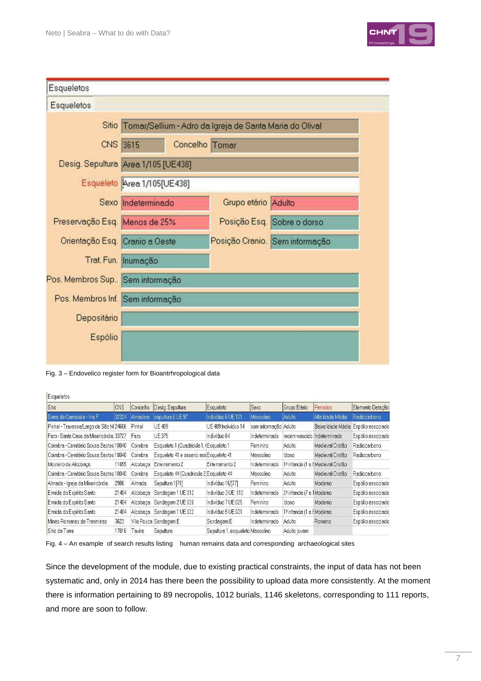

| Esqueletos                       |                                                               |                |                     |                                |  |  |  |  |  |
|----------------------------------|---------------------------------------------------------------|----------------|---------------------|--------------------------------|--|--|--|--|--|
| Esqueletos                       |                                                               |                |                     |                                |  |  |  |  |  |
|                                  | Sitio Tomar/Sellium - Adro da Igreja de Santa Maria do Olival |                |                     |                                |  |  |  |  |  |
|                                  | CNS 3615                                                      | Concelho Tomar |                     |                                |  |  |  |  |  |
|                                  | Desig. Sepultura Area 1/105 [UE438]                           |                |                     |                                |  |  |  |  |  |
|                                  | Esqueleto Area 1/105[UE438]                                   |                |                     |                                |  |  |  |  |  |
|                                  | Sexo Indeterminado                                            |                | Grupo etário Adulto |                                |  |  |  |  |  |
| Preservação Esq. Menos de 25%    |                                                               |                |                     | Posição Esq. Sobre o dorso     |  |  |  |  |  |
| Orientação Esq. Cranio a Oeste   |                                                               |                |                     | Posição Cranio. Sem informação |  |  |  |  |  |
|                                  | Trat Fun. Inumação                                            |                |                     |                                |  |  |  |  |  |
| Pos. Membros Sup. Sem informação |                                                               |                |                     |                                |  |  |  |  |  |
| Pos. Membros Inf. Sem informação |                                                               |                |                     |                                |  |  |  |  |  |
| Depositário                      |                                                               |                |                     |                                |  |  |  |  |  |
| Espólio                          |                                                               |                |                     |                                |  |  |  |  |  |

Fig. 3 – Endovelico register form for Bioantrhropological data

#### Esqueletos

| Sitio                                   | <b>CNS</b> | Concelho | Desig. Sepultura                        | Esqueleto                        | Sexo                  | Grupo Etário                          | Periodos                                       | Elemento Datação                    |
|-----------------------------------------|------------|----------|-----------------------------------------|----------------------------------|-----------------------|---------------------------------------|------------------------------------------------|-------------------------------------|
| Serra de Carnaxide - Via F              | 32324      | Amadora  | sepultura 6 UE 97                       | Indivíduo 6 UE 101               | Masculino             | Adulto                                | Alta Idade Média                               | Radiocarbono                        |
| Pinhel - Travessa/Largo de São M 24606  |            | Pinhel   | <b>UE 409</b>                           | UE 409 Indivíduo 14              | sem informação Adulto |                                       |                                                | Baixa Idade Média Espólio associado |
| Faro - Santa Casa da Misericórdia 33727 |            | Faro     | UE:375                                  | Indivíduo 64                     | Indeterminado         | recem-nascido                         | Indeterminado                                  | Espólio associado.                  |
| Coimbra - Cemitério Sousa Bastos 18040  |            | Coimbra  | Esqueleto 1 (Quadrícula 1, (Esqueleto 1 |                                  | Feminino              | Adulto                                | Medieval Cristão                               | Radiocarbono                        |
| Coimbra - Cemitério Sousa Bastos 18040  |            | Coimbra  | Esqueleto 41 e ossario assEsqueleto 41  |                                  | Masculino             | Idoso                                 | Medieval Cristão                               | Radiocarbono                        |
| Mosteiro de Alcobaça                    | 11655      | Alcobaca | Enterramento 2                          | Enterramento 2                   | Indeterminado         |                                       | 1 <sup>3</sup> infancia (1 a EMedieval Cristão |                                     |
| Coimbra - Cemitério Sousa Bastos 18040  |            | Coimbra  | Esqueleto 44 (Quadricula 2 Esqueleto 44 |                                  | Masculino             | Adulto                                | Medieval Cristão                               | Radiocarbono                        |
| Almada - Igreja da Misericórdia         | 2986       | Almada   | Sepultura 1[78]                         | Indivíduo 16/[77]                | Feminino              | <b>Adulto</b>                         | Moderno                                        | Espólio associado                   |
| Ermida do Espírito Santo                | 21404      | Alcobaca | Sondagem 1 UE:012                       | Indivíduo 3 UE: 012              | Indeterminado         | 2 <sup>3</sup> infancia (7 a 1Moderno |                                                | Espólio associado                   |
| Ermida do Espírito Santo                | 21404      | Alcobaca | Sondagem 2 UE:026                       | Indivíduo 7 UE:025               | Feminino              | Idoso                                 | Modemo                                         | Espólio associado                   |
| Ermida do Espírito Santo                | 21404      | Alcobaca | Sondagem 1 UE:022                       | Indivíduo 5 UE:021               | Indeterminado         | 1 <sup>3</sup> infancia (1 a EModerno |                                                | Espólio associado.                  |
| Minas Romanas de Tresminas              | 3623       |          | Vila Pouca Sondagem E                   | Sondagem E                       | Indeterminado         | Adulto                                | Romano                                         | Espólio associado                   |
| Sitio da Torre                          | 17816      | Tavira   | Sepultura.                              | Sepultura 1, esqueleto Masculino |                       | Adulto jovem                          |                                                |                                     |

Fig. 4 – An example of search results listing human remains data and corresponding archaeological sites

Since the development of the module, due to existing practical constraints, the input of data has not been systematic and, only in 2014 has there been the possibility to upload data more consistently. At the moment there is information pertaining to 89 necropolis, 1012 burials, 1146 skeletons, corresponding to 111 reports, and more are soon to follow.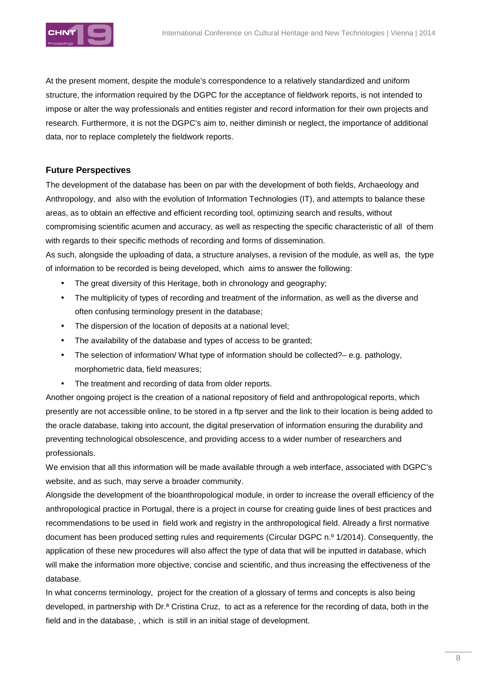

At the present moment, despite the module's correspondence to a relatively standardized and uniform structure, the information required by the DGPC for the acceptance of fieldwork reports, is not intended to impose or alter the way professionals and entities register and record information for their own projects and research. Furthermore, it is not the DGPC's aim to, neither diminish or neglect, the importance of additional data, nor to replace completely the fieldwork reports.

### **Future Perspectives**

The development of the database has been on par with the development of both fields, Archaeology and Anthropology, and also with the evolution of Information Technologies (IT), and attempts to balance these areas, as to obtain an effective and efficient recording tool, optimizing search and results, without compromising scientific acumen and accuracy, as well as respecting the specific characteristic of all of them with regards to their specific methods of recording and forms of dissemination.

As such, alongside the uploading of data, a structure analyses, a revision of the module, as well as, the type of information to be recorded is being developed, which aims to answer the following:

- The great diversity of this Heritage, both in chronology and geography;
- The multiplicity of types of recording and treatment of the information, as well as the diverse and often confusing terminology present in the database;
- The dispersion of the location of deposits at a national level;
- The availability of the database and types of access to be granted;
- The selection of information/ What type of information should be collected? e.g. pathology, morphometric data, field measures;
- The treatment and recording of data from older reports.

Another ongoing project is the creation of a national repository of field and anthropological reports, which presently are not accessible online, to be stored in a ftp server and the link to their location is being added to the oracle database, taking into account, the digital preservation of information ensuring the durability and preventing technological obsolescence, and providing access to a wider number of researchers and professionals.

We envision that all this information will be made available through a web interface, associated with DGPC's website, and as such, may serve a broader community.

Alongside the development of the bioanthropological module, in order to increase the overall efficiency of the anthropological practice in Portugal, there is a project in course for creating guide lines of best practices and recommendations to be used in field work and registry in the anthropological field. Already a first normative document has been produced setting rules and requirements (Circular DGPC n.º 1/2014). Consequently, the application of these new procedures will also affect the type of data that will be inputted in database, which will make the information more objective, concise and scientific, and thus increasing the effectiveness of the database.

In what concerns terminology, project for the creation of a glossary of terms and concepts is also being developed, in partnership with Dr.ª Cristina Cruz, to act as a reference for the recording of data, both in the field and in the database, , which is still in an initial stage of development.